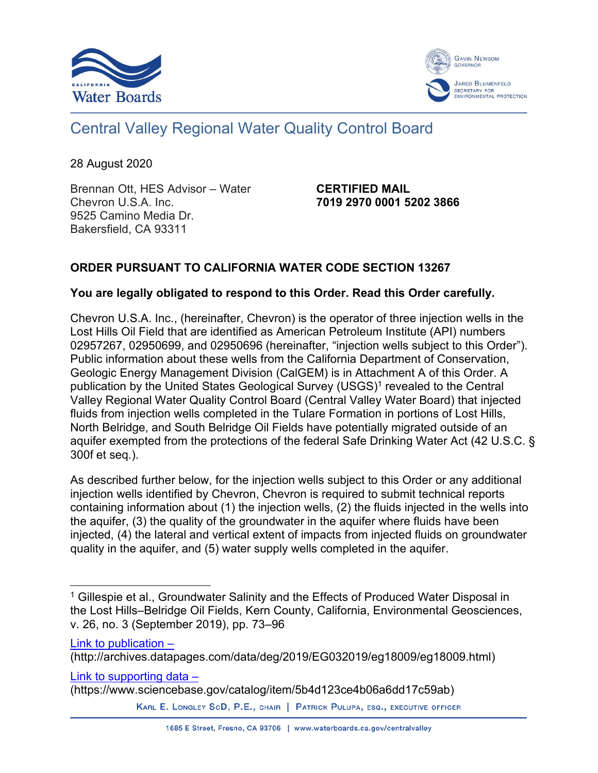



# Central Valley Regional Water Quality Control Board

28 August 2020

Brennan Ott, HES Advisor – Water Chevron U.S.A. Inc. 9525 Camino Media Dr. Bakersfield, CA 93311

**CERTIFIED MAIL 7019 2970 0001 5202 3866**

### **ORDER PURSUANT TO CALIFORNIA WATER CODE SECTION 13267**

### **You are legally obligated to respond to this Order. Read this Order carefully.**

Chevron U.S.A. Inc., (hereinafter, Chevron) is the operator of three injection wells in the Lost Hills Oil Field that are identified as American Petroleum Institute (API) numbers 02957267, 02950699, and 02950696 (hereinafter, "injection wells subject to this Order"). Public information about these wells from the California Department of Conservation, Geologic Energy Management Division (CalGEM) is in Attachment A of this Order. A publication by the United States Geological Survey (USGS)<sup>[1](#page-0-0)</sup> revealed to the Central Valley Regional Water Quality Control Board (Central Valley Water Board) that injected fluids from injection wells completed in the Tulare Formation in portions of Lost Hills, North Belridge, and South Belridge Oil Fields have potentially migrated outside of an aquifer exempted from the protections of the federal Safe Drinking Water Act (42 U.S.C. § 300f et seq.).

As described further below, for the injection wells subject to this Order or any additional injection wells identified by Chevron, Chevron is required to submit technical reports containing information about (1) the injection wells, (2) the fluids injected in the wells into the aquifer, (3) the quality of the groundwater in the aquifer where fluids have been injected, (4) the lateral and vertical extent of impacts from injected fluids on groundwater quality in the aquifer, and (5) water supply wells completed in the aquifer.

[Link to publication –](http://archives.datapages.com/data/deg/2019/EG032019/eg18009/eg18009.html)

[Link to supporting data –](https://www.sciencebase.gov/catalog/item/5b4d123ce4b06a6dd17c59ab)

(https://www.sciencebase.gov/catalog/item/5b4d123ce4b06a6dd17c59ab)

KARL E. LONGLEY SCD, P.E., CHAIR | PATRICK PULUPA, ESQ., EXECUTIVE OFFICER

<span id="page-0-0"></span><sup>&</sup>lt;sup>1</sup> Gillespie et al., Groundwater Salinity and the Effects of Produced Water Disposal in the Lost Hills–Belridge Oil Fields, Kern County, California, Environmental Geosciences, v. 26, no. 3 (September 2019), pp. 73–96

<sup>(</sup>http://archives.datapages.com/data/deg/2019/EG032019/eg18009/eg18009.html)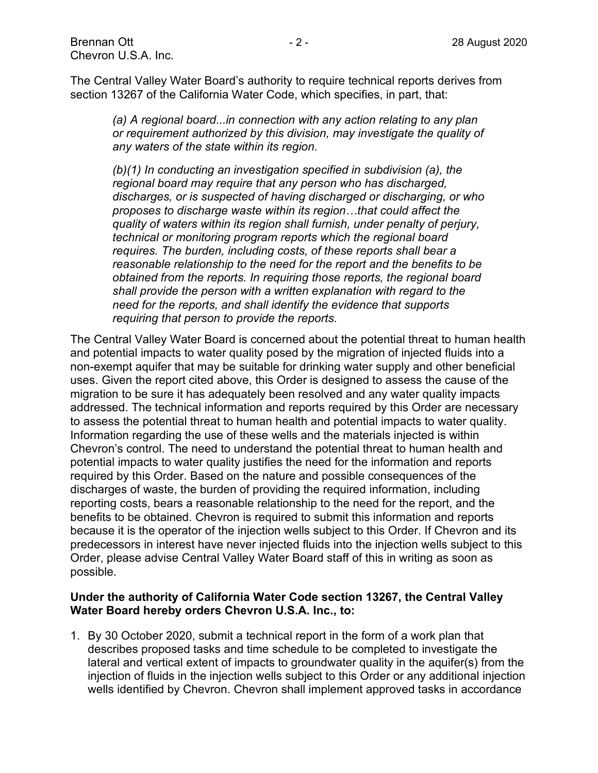The Central Valley Water Board's authority to require technical reports derives from section 13267 of the California Water Code, which specifies, in part, that:

*(a) A regional board...in connection with any action relating to any plan or requirement authorized by this division, may investigate the quality of any waters of the state within its region.*

*(b)(1) In conducting an investigation specified in subdivision (a), the regional board may require that any person who has discharged, discharges, or is suspected of having discharged or discharging, or who proposes to discharge waste within its region…that could affect the quality of waters within its region shall furnish, under penalty of perjury, technical or monitoring program reports which the regional board requires. The burden, including costs, of these reports shall bear a reasonable relationship to the need for the report and the benefits to be obtained from the reports. In requiring those reports, the regional board shall provide the person with a written explanation with regard to the need for the reports, and shall identify the evidence that supports requiring that person to provide the reports.*

The Central Valley Water Board is concerned about the potential threat to human health and potential impacts to water quality posed by the migration of injected fluids into a non-exempt aquifer that may be suitable for drinking water supply and other beneficial uses. Given the report cited above, this Order is designed to assess the cause of the migration to be sure it has adequately been resolved and any water quality impacts addressed. The technical information and reports required by this Order are necessary to assess the potential threat to human health and potential impacts to water quality. Information regarding the use of these wells and the materials injected is within Chevron's control. The need to understand the potential threat to human health and potential impacts to water quality justifies the need for the information and reports required by this Order. Based on the nature and possible consequences of the discharges of waste, the burden of providing the required information, including reporting costs, bears a reasonable relationship to the need for the report, and the benefits to be obtained. Chevron is required to submit this information and reports because it is the operator of the injection wells subject to this Order. If Chevron and its predecessors in interest have never injected fluids into the injection wells subject to this Order, please advise Central Valley Water Board staff of this in writing as soon as possible.

#### **Under the authority of California Water Code section 13267, the Central Valley Water Board hereby orders Chevron U.S.A. Inc., to:**

1. By 30 October 2020, submit a technical report in the form of a work plan that describes proposed tasks and time schedule to be completed to investigate the lateral and vertical extent of impacts to groundwater quality in the aquifer(s) from the injection of fluids in the injection wells subject to this Order or any additional injection wells identified by Chevron. Chevron shall implement approved tasks in accordance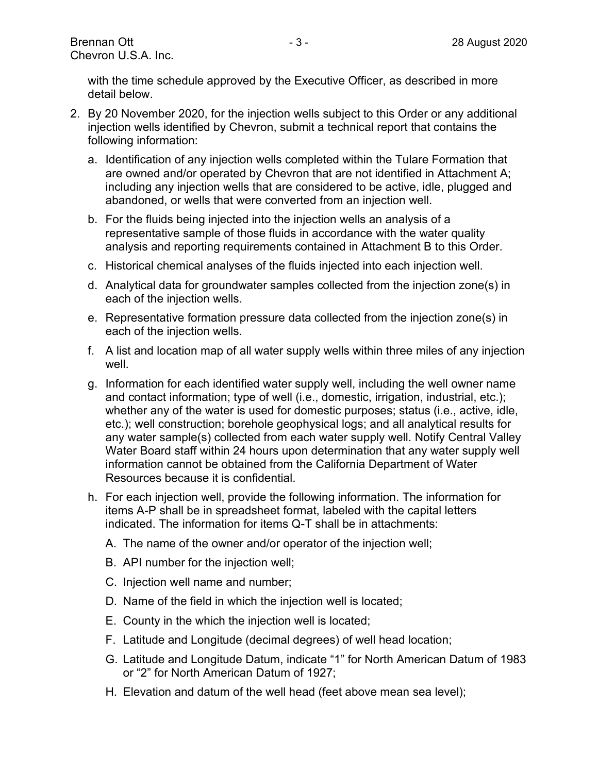with the time schedule approved by the Executive Officer, as described in more detail below.

- 2. By 20 November 2020, for the injection wells subject to this Order or any additional injection wells identified by Chevron, submit a technical report that contains the following information:
	- a. Identification of any injection wells completed within the Tulare Formation that are owned and/or operated by Chevron that are not identified in Attachment A; including any injection wells that are considered to be active, idle, plugged and abandoned, or wells that were converted from an injection well.
	- b. For the fluids being injected into the injection wells an analysis of a representative sample of those fluids in accordance with the water quality analysis and reporting requirements contained in Attachment B to this Order.
	- c. Historical chemical analyses of the fluids injected into each injection well.
	- d. Analytical data for groundwater samples collected from the injection zone(s) in each of the injection wells.
	- e. Representative formation pressure data collected from the injection zone(s) in each of the injection wells.
	- f. A list and location map of all water supply wells within three miles of any injection well.
	- g. Information for each identified water supply well, including the well owner name and contact information; type of well (i.e., domestic, irrigation, industrial, etc.); whether any of the water is used for domestic purposes; status (i.e., active, idle, etc.); well construction; borehole geophysical logs; and all analytical results for any water sample(s) collected from each water supply well. Notify Central Valley Water Board staff within 24 hours upon determination that any water supply well information cannot be obtained from the California Department of Water Resources because it is confidential.
	- h. For each injection well, provide the following information. The information for items A-P shall be in spreadsheet format, labeled with the capital letters indicated. The information for items Q-T shall be in attachments:
		- A. The name of the owner and/or operator of the injection well;
		- B. API number for the injection well;
		- C. Injection well name and number;
		- D. Name of the field in which the injection well is located;
		- E. County in the which the injection well is located;
		- F. Latitude and Longitude (decimal degrees) of well head location;
		- G. Latitude and Longitude Datum, indicate "1" for North American Datum of 1983 or "2" for North American Datum of 1927;
		- H. Elevation and datum of the well head (feet above mean sea level);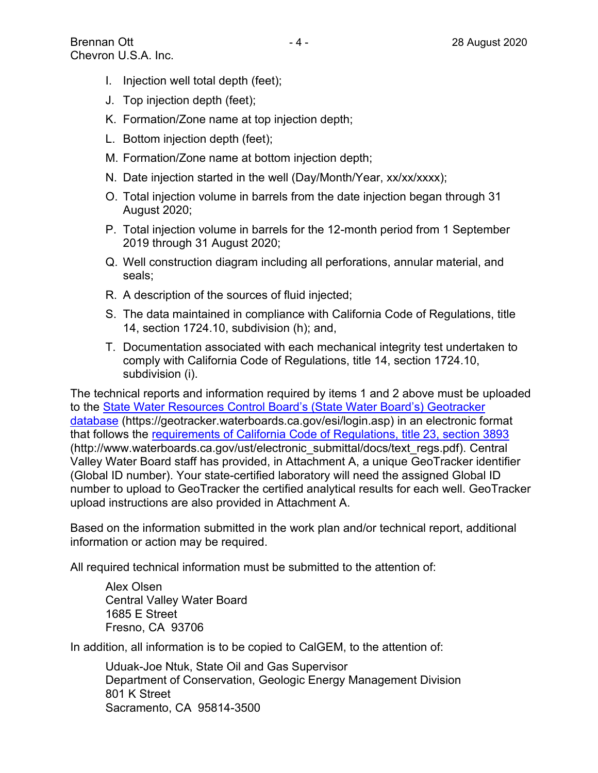- I. Injection well total depth (feet);
- J. Top injection depth (feet);
- K. Formation/Zone name at top injection depth;
- L. Bottom injection depth (feet);
- M. Formation/Zone name at bottom injection depth;
- N. Date injection started in the well (Day/Month/Year, xx/xx/xxxx);
- O. Total injection volume in barrels from the date injection began through 31 August 2020;
- P. Total injection volume in barrels for the 12-month period from 1 September 2019 through 31 August 2020;
- Q. Well construction diagram including all perforations, annular material, and seals;
- R. A description of the sources of fluid injected;
- S. The data maintained in compliance with California Code of Regulations, title 14, section 1724.10, subdivision (h); and,
- T. Documentation associated with each mechanical integrity test undertaken to comply with California Code of Regulations, title 14, section 1724.10, subdivision (i).

The technical reports and information required by items 1 and 2 above must be uploaded to the [State Water Resources Control Board's \(State Water Board's\) Geotracker](https://geotracker.waterboards.ca.gov/esi/login.asp)  [database](https://geotracker.waterboards.ca.gov/esi/login.asp) (https://geotracker.waterboards.ca.gov/esi/login.asp) in an electronic format that follows the [requirements of California Code of Regulations, title 23, section 3893](http://www.waterboards.ca.gov/ust/electronic_submittal/docs/text_regs.pdf) (http://www.waterboards.ca.gov/ust/electronic\_submittal/docs/text\_regs.pdf). Central Valley Water Board staff has provided, in Attachment A, a unique GeoTracker identifier (Global ID number). Your state-certified laboratory will need the assigned Global ID number to upload to GeoTracker the certified analytical results for each well. GeoTracker upload instructions are also provided in Attachment A.

Based on the information submitted in the work plan and/or technical report, additional information or action may be required.

All required technical information must be submitted to the attention of:

Alex Olsen Central Valley Water Board 1685 E Street Fresno, CA 93706

In addition, all information is to be copied to CalGEM, to the attention of:

Uduak-Joe Ntuk, State Oil and Gas Supervisor Department of Conservation, Geologic Energy Management Division 801 K Street Sacramento, CA 95814-3500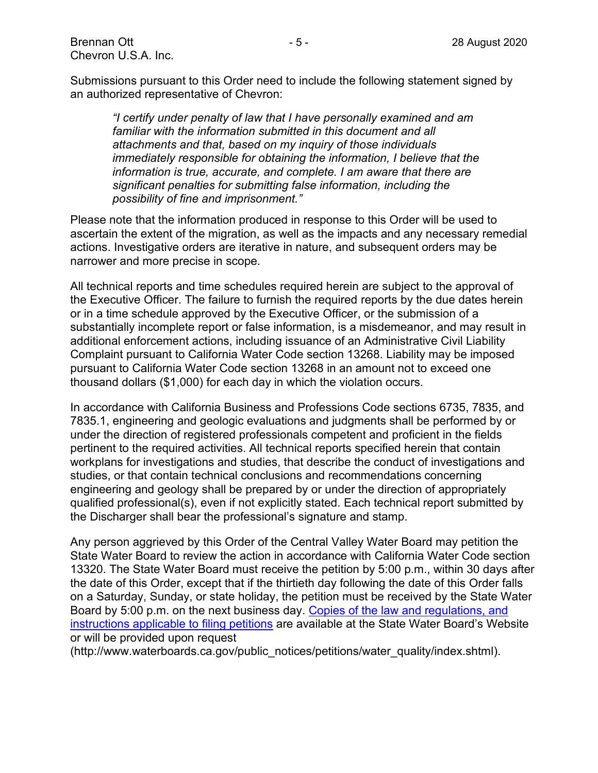Brennan Ott - 5 - 28 August 2020 Chevron U.S.A. Inc.

Submissions pursuant to this Order need to include the following statement signed by an authorized representative of Chevron:

*"I certify under penalty of law that I have personally examined and am familiar with the information submitted in this document and all attachments and that, based on my inquiry of those individuals immediately responsible for obtaining the information, I believe that the information is true, accurate, and complete. I am aware that there are significant penalties for submitting false information, including the possibility of fine and imprisonment."*

Please note that the information produced in response to this Order will be used to ascertain the extent of the migration, as well as the impacts and any necessary remedial actions. Investigative orders are iterative in nature, and subsequent orders may be narrower and more precise in scope.

All technical reports and time schedules required herein are subject to the approval of the Executive Officer. The failure to furnish the required reports by the due dates herein or in a time schedule approved by the Executive Officer, or the submission of a substantially incomplete report or false information, is a misdemeanor, and may result in additional enforcement actions, including issuance of an Administrative Civil Liability Complaint pursuant to California Water Code section 13268. Liability may be imposed pursuant to California Water Code section 13268 in an amount not to exceed one thousand dollars (\$1,000) for each day in which the violation occurs.

In accordance with California Business and Professions Code sections 6735, 7835, and 7835.1, engineering and geologic evaluations and judgments shall be performed by or under the direction of registered professionals competent and proficient in the fields pertinent to the required activities. All technical reports specified herein that contain workplans for investigations and studies, that describe the conduct of investigations and studies, or that contain technical conclusions and recommendations concerning engineering and geology shall be prepared by or under the direction of appropriately qualified professional(s), even if not explicitly stated. Each technical report submitted by the Discharger shall bear the professional's signature and stamp.

Any person aggrieved by this Order of the Central Valley Water Board may petition the State Water Board to review the action in accordance with California Water Code section 13320. The State Water Board must receive the petition by 5:00 p.m., within 30 days after the date of this Order, except that if the thirtieth day following the date of this Order falls on a Saturday, Sunday, or state holiday, the petition must be received by the State Water Board by 5:00 p.m. on the next business day. [Copies of the law and regulations, and](http://www.waterboards.ca.gov/public_notices/petitions/water_quality/index.shtml)  instructions [applicable to filing petitions](http://www.waterboards.ca.gov/public_notices/petitions/water_quality/index.shtml) are available at the State Water Board's Website or will be provided upon request

(http://www.waterboards.ca.gov/public\_notices/petitions/water\_quality/index.shtml).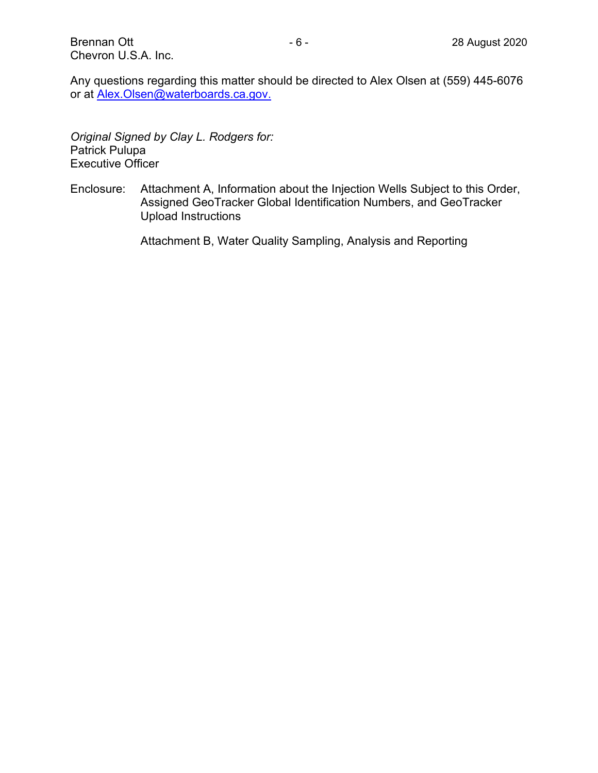Any questions regarding this matter should be directed to Alex Olsen at (559) 445-6076 or at [Alex.Olsen@waterboards.ca.gov](mailto:Alex.Olsen@waterboards.ca.gov).

*Original Signed by Clay L. Rodgers for:* Patrick Pulupa Executive Officer

Enclosure: Attachment A, Information about the Injection Wells Subject to this Order, Assigned GeoTracker Global Identification Numbers, and GeoTracker Upload Instructions

Attachment B, Water Quality Sampling, Analysis and Reporting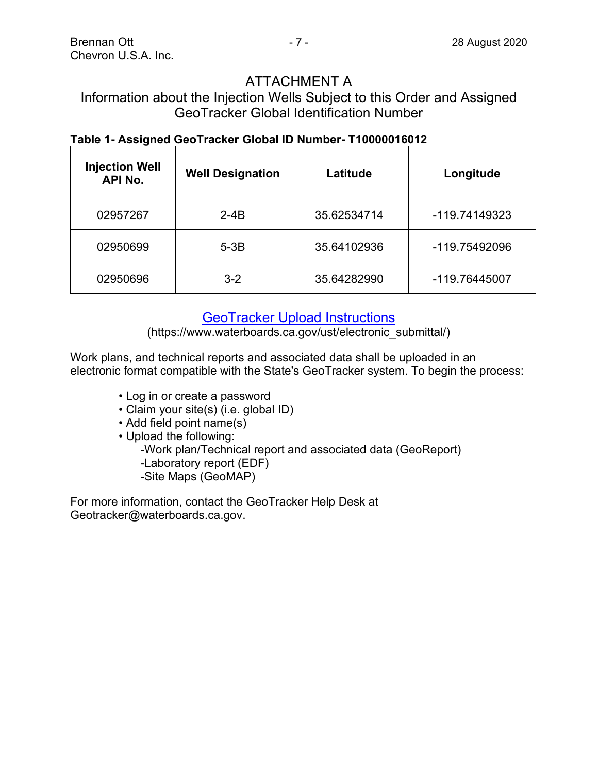## ATTACHMENT A

## Information about the Injection Wells Subject to this Order and Assigned GeoTracker Global Identification Number

## **Table 1- Assigned GeoTracker Global ID Number- T10000016012**

| <b>Injection Well</b><br><b>API No.</b> | <b>Well Designation</b> | Latitude    | Longitude     |
|-----------------------------------------|-------------------------|-------------|---------------|
| 02957267                                | $2-4B$                  | 35.62534714 | -119.74149323 |
| 02950699                                | $5-3B$                  | 35.64102936 | -119.75492096 |
| 02950696                                | $3 - 2$                 | 35.64282990 | -119.76445007 |

## [GeoTracker Upload Instructions](https://www.waterboards.ca.gov/ust/electronic_submittal/)

(https://www.waterboards.ca.gov/ust/electronic\_submittal/)

Work plans, and technical reports and associated data shall be uploaded in an electronic format compatible with the State's GeoTracker system. To begin the process:

- Log in or create a password
- Claim your site(s) (i.e. global ID)
- Add field point name(s)

• Upload the following: -Work plan/Technical report and associated data (GeoReport) -Laboratory report (EDF) -Site Maps (GeoMAP)

For more information, contact the GeoTracker Help Desk at Geotracker@waterboards.ca.gov.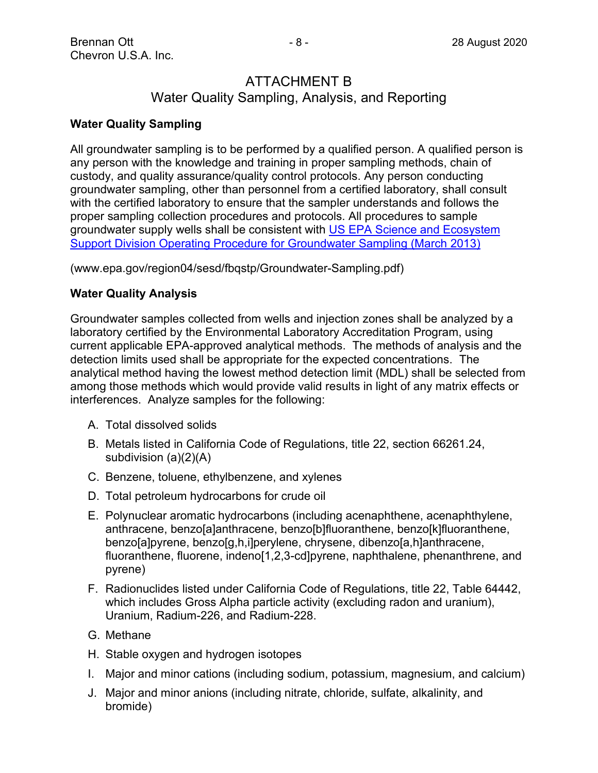## ATTACHMENT B Water Quality Sampling, Analysis, and Reporting

#### **Water Quality Sampling**

All groundwater sampling is to be performed by a qualified person. A qualified person is any person with the knowledge and training in proper sampling methods, chain of custody, and quality assurance/quality control protocols. Any person conducting groundwater sampling, other than personnel from a certified laboratory, shall consult with the certified laboratory to ensure that the sampler understands and follows the proper sampling collection procedures and protocols. All procedures to sample groundwater supply wells shall be consistent with [US EPA Science and Ecosystem](http://www.epa.gov/region04/sesd/fbqstp/Groundwater-Sampling.pdf)  [Support Division Operating Procedure for Groundwater Sampling \(March 2013\)](http://www.epa.gov/region04/sesd/fbqstp/Groundwater-Sampling.pdf)

(www.epa.gov/region04/sesd/fbqstp/Groundwater-Sampling.pdf)

#### **Water Quality Analysis**

Groundwater samples collected from wells and injection zones shall be analyzed by a laboratory certified by the Environmental Laboratory Accreditation Program, using current applicable EPA-approved analytical methods. The methods of analysis and the detection limits used shall be appropriate for the expected concentrations. The analytical method having the lowest method detection limit (MDL) shall be selected from among those methods which would provide valid results in light of any matrix effects or interferences. Analyze samples for the following:

- A. Total dissolved solids
- B. Metals listed in California Code of Regulations, title 22, section 66261.24, subdivision (a)(2)(A)
- C. Benzene, toluene, ethylbenzene, and xylenes
- D. Total petroleum hydrocarbons for crude oil
- E. Polynuclear aromatic hydrocarbons (including acenaphthene, acenaphthylene, anthracene, benzo[a]anthracene, benzo[b]fluoranthene, benzo[k]fluoranthene, benzo[a]pyrene, benzo[g,h,i]perylene, chrysene, dibenzo[a,h]anthracene, fluoranthene, fluorene, indeno[1,2,3-cd]pyrene, naphthalene, phenanthrene, and pyrene)
- F. Radionuclides listed under California Code of Regulations, title 22, Table 64442, which includes Gross Alpha particle activity (excluding radon and uranium), Uranium, Radium-226, and Radium-228.
- G. Methane
- H. Stable oxygen and hydrogen isotopes
- I. Major and minor cations (including sodium, potassium, magnesium, and calcium)
- J. Major and minor anions (including nitrate, chloride, sulfate, alkalinity, and bromide)